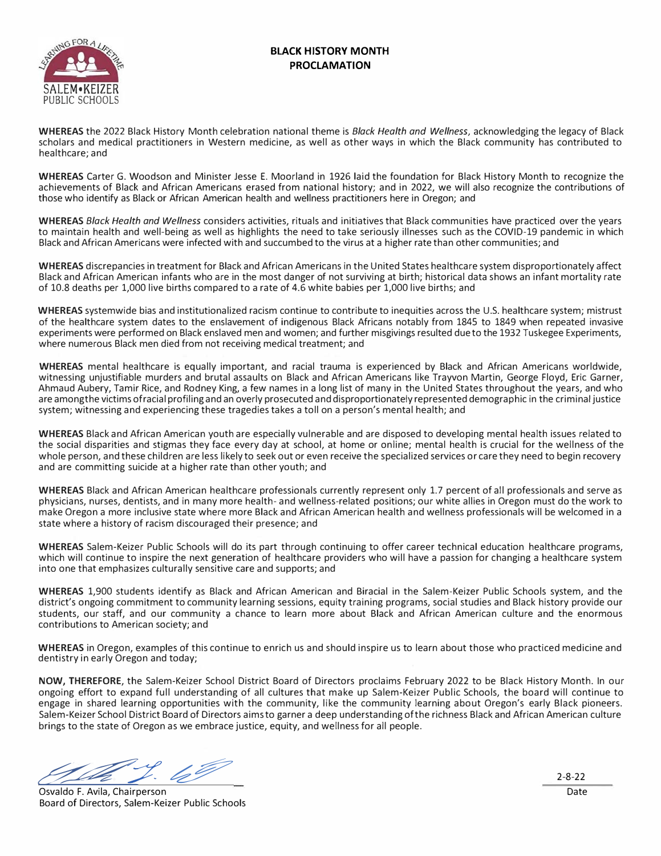### **BLACK HISTORY MONTH PROCLAMATION**



**WHEREAS** the 2022 Black History Month celebration national theme is *Black Health and Wellness,* acknowledging the legacy of Black scholars and medical practitioners in Western medicine, as well as other ways in which the Black community has contributed to healthcare; and

**WHEREAS** Carter G. Woodson and Minister Jesse E. Moorland in 1926 laid the foundation for Black History Month to recognize the achievements of Black and African Americans erased from national history; and in 2022, we will also recognize the contributions of those who identify as Black or African American health and wellness practitioners here in Oregon; and

**WHEREAS** *Black Health and Wellness* considers activities, rituals and initiatives that Black communities have practiced over the years to maintain health and well-being as well as highlights the need to take seriously illnesses such as the COVID-19 pandemic in which Black and African Americans were infected with and succumbed to the virus at a higher rate than other communities; and

**WHEREAS** discrepancies in treatment for Black and African Americans in the United States healthcare system disproportionately affect Black and African American infants who are in the most danger of not surviving at birth; historical data shows an infant mortality rate of 10.8 deaths per 1,000 live births compared to a rate of 4.6 white babies per 1,000 live births; and

**WHEREAS** systemwide bias and institutionalized racism continue to contribute to inequities across the U.S. healthcare system; mistrust of the healthcare system dates to the enslavement of indigenous Black Africans notably from 1845 to 1849 when repeated invasive experiments were performed on Black enslaved men and women; and further misgivings resulted dueto the 1932 Tuskegee Experiments, where numerous Black men died from not receiving medical treatment; and

**WHEREAS** mental healthcare is equally important, and racial trauma is experienced by Black and African Americans worldwide, witnessing unjustifiable murders and brutal assaults on Black and African Americans like Trayvon Martin, George Floyd, Eric Garner, Ahmaud Aubery, Tamir Rice, and Rodney King, a few names in a long list of many in the United States throughout the years, and who are among the victims of racial profiling and an overly prosecuted and disproportionately represented demographic in the criminal justice system; witnessing and experiencing these tragedies takes a toll on a person's mental health; and

**WHEREAS** Black and African American youth are especially vulnerable and are disposed to developing mental health issues related to the social disparities and stigmas they face every day at school, at home or online; mental health is crucial for the wellness of the whole person, and these children are less likely to seek out or even receive the specialized services or care they need to begin recovery and are committing suicide at a higher rate than other youth; and

**WHEREAS** Black and African American healthcare professionals currently represent only 1.7 percent of all professionals and serve as physicians, nurses, dentists, and in many more health- and wellness-related positions; our white allies in Oregon must do the work to make Oregon a more inclusive state where more Black and African American health and wellness professionals will be welcomed in a state where a history of racism discouraged their presence; and

**WHEREAS** Salem-Keizer Public Schools will do its part through continuing to offer career technical education healthcare programs, which will continue to inspire the next generation of healthcare providers who will have a passion for changing a healthcare system into one that emphasizes culturally sensitive care and supports; and

**WHEREAS** 1,900 students identify as Black and African American and Biracial in the Salem-Keizer Public Schools system, and the district's ongoing commitment to community learning sessions, equity training programs, social studies and Black history provide our students, our staff, and our community a chance to learn more about Black and African American culture and the enormous contributions to American society; and

**WHEREAS** in Oregon, examples of this continue to enrich us and should inspire us to learn about those who practiced medicine and dentistry in early Oregon and today;

**NOW, THEREFORE,** the Salem-Keizer School District Board of Directors proclaims February 2022 to be Black History Month. In our ongoing effort to expand full understanding of all cultures that make up Salem-Keizer Public Schools, the board will continue to engage in shared learning opportunities with the community, like the community learning about Oregon's early Black pioneers. Salem-Keizer School District Board of Directors aims to garner a deep understanding ofthe richness Black and African American culture brings to the state of Oregon as we embrace justice, equity, and wellness for all people.

<u>2-8-22</u><br>Orueldo E. Avilo Chairmoreae

Osvaldo F. Avila, Chairperson Date Board of Directors, Salem-Keizer Public Schools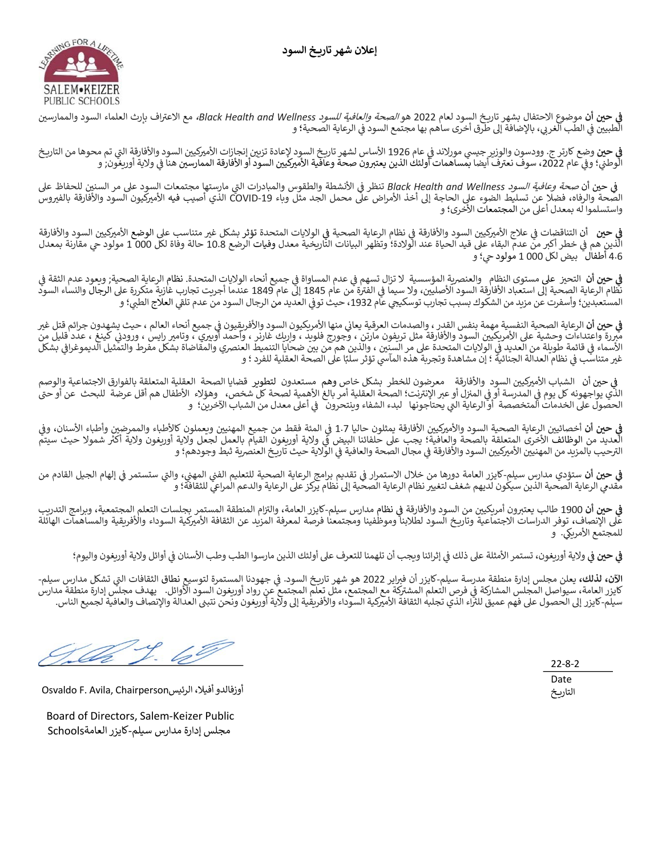إعلان شهر تاريخ السود



**في حين أن** موضوع الاحتفال بشهر تاريخ السود لعام 2022 هو *الصحة والعافية للسود Black Health and Wellness،* مع الاعتراف بإرث العلماء السود والممارسين<br>في حين أن موضوع الاحتفال بشهر تاريخ السود لعام 2022 هو *الصحة والعافية ل* **#** ي حتى ان موضوع الاحتصان بسهر تاريخ السود لعام 2022 مو *الطبحة والعامية للسود II*Iess<br>الطبيين في الطب الغربي، بالإضافة إلى طرق أخرى ساهم بها مجتمع السود في الرعاية الصحية؛ و Y

**في حين** وضع كارتر ج. وودسون والوزير جيسي مورلاند في عام 1926 الأساس لشهر تاريخ السود لإعادة تزين إنجازات الأميركيين السود والأفارقة التي تم محوها من التاريخ<br>في حين وضع كارتر ج. وودسون والوزير جيسي مورلاند في بيام J90 الأ **#** ي حين وطبع تاريز ع. وودسون والوزير جيسي موردت في عام 1520 ارتشامل مسهر دريج السود حتى الجاري المراجع التي استود واردارت التي تم لم<br>الوطني؛ وفي عام 2022، سوف نعترف أيضا بمساهمات أولئك الذين يعتبرون صحة وعافية الأميركيين ال TY

في حين أن *صحة وعافية السود Black Health and Wellness* تنظر في الأنشطة والطقوس والمبادرات التي مارستها مجتمعات السود على مر السنين للحفاظ على<br>وفي حين أن *صحة وعافية السود* : T الصحة والرفاه، فضلا عن تسليط الضوء على الحاجة إلى أخذ الأمراض على محمل الجد مثل وباء COVID-19 الذي أصيب فيه الأميركيون السود والأفارقة بالفيروس واستسلموا له بمعدل أعلى من المجتمعات الأخرى؛ و

**في حين** أن التناقضات في علاج الأميركيين السود والأفارقة في نظام الرعاية الصلاحات المتحدة تؤثر بشكل غير متناسب على الوضع الأميركيين السود والأفارقة<br>أيدر من هي خطر أكبر من عدم البقاء على قيد الحياة عند الولادة؛ وتظهر الب **#** .<br>İ 4.6 أطفال بيض لكل 1 000 مولود حي؛ و

**في حين أن** التحيز على مستوى النظام والعنصرية المؤسسية لا تزال تسهم في عدم المساواة في جميع أنحاء المتحدة الصحاة والمحية; ويعود عدم الثقة في<br>نظام الرعاية الصحية إلى استعباد الأفارق السود الأصليين، ولا سيما في الفترة من **#** T **\$** TTTالمستعبدين؛ وأسفرت عن مزيد من الشكوك بسبب تجارب توسكيجي عام 1932، حيث توفي العديد من الرجال السود من عدم تلقي العلاج الطبي؛ و J

**"** <sup>T</sup>**& ح ' # نأ** \اعi ةDقرعلا تامدصلاو ، ردقلا سفنب ةمهم ةDسفنلا ةDحصلا ةiاعرلاXT نويق4Æفلأاو دوسلا نويك4Æملأا اهنم Y ثDح ، ملاعلا ءاحنأ عيمج Iغ لتق مئارج نودهشº S Y **# \$** Tمبررة واعتداءات وحشية على الأمريكيين السود والأفارقة مثل تريفون مارتن ، وجورج فلويد ، وارك غارنر ، وأحمد أوبيري ، وتامير رايس ، ورودني كينغ ، عدد قليل من<br>الأسماء في قائمة طويلة من العديد في الولايات المتحدة على مر السنين .<br>.

في حين أن الشباب الأميركيين السود والأفارقة معرضون للخطر بشكل خاص وهم مستعدون لتطوير قضايا الصحة العقلية المتعلقة بالفوارق الاجتماعية والوصم<br>الذي يواجهونه كل يوم في المدرسة أو في المنزل أو عبر الإنترنت؛ الصحة الع T الحصول على الخدمات المتخصّصة ۖ أَو الرعاية التي يحتاجونها لبدء الشفاء وينتحرون في أعلى معدل من الشباب الآخرين؛ و T

<mark>في حين أن</mark> أخصائيين الرعاية الصحية السود والأميركيين الأفارقة يمثلون حاليا 1.7 في المئة من جميع المهنيين ويعملون كالأطباء والممرضين وأطباء الأسنان، وفي<br>العديد من الوظائف الأخرى المتعلقة بالصحة وإلى نقطة؛ يجب على حلفان ال **#** TTالعمية من الوصاحب الركزي المتعلقة بالصحة والتالية. يبتب على حلقائنا البيض في ورية اوريتون الفيام بالعمل لجنن ورية<br>الترحيب بالمزيد من المهنيين الأميركيين السود والأفارقة في مجال الصحة والعافية في الولاية حيث تاريخ العنصرية Y

**في حين أن** ستؤدي مدارس سيلم-كايزر العامة دورها من خلال الاستمرار في تقديم برامج الرعاية الصحية للتعليم الفني المهني، والتي ستستمر في إلهام الجيل القادم من<br>مقدمي الرعاية الصحية الذين سيكون لديهم شغف لتغيير نظام الرعاية ال **# \$** T

في حين أن 1900 طالب يعتبرون أمريكيين من السود والأفارقة في نظام مدارس سيلم-كايزر العامة، والتزام المنطقة المستمر بجلسات التعلم المجتمعية، وبرامج التدريب<br>في حين أن 1900 طالب يعتبرون أمريكيين من السود والأفارقة في نظام مدار **#** على الإنصاف، توفر الدراسات الاجتماعية وتاريخ السود لطلابنا وموظفينا ومجتمعنا فرصة لمعرفة المزيد عن الثقافة الأميركية السوداء والأفريقية والمساهمات الهائلة للمجتمع الأمريكي. و

**في حين في ولاية أوريغون، تستمر الأمثلة على ذلك في إثرائنا ويجب أن تلهمنا للتعرف على أولئك الذين مارسوا الطب وطب الأسنان في أوائل ولاية أوريغون واليوم؛ #** Y Y

Tا**لآن، لذلك،** يعلن مجلس إدارة منطقة مدرسة سيلم-كايزر أن فبراير 2022 هو شهر تاريخ السود. في جهودنا المستمرة لتوسيع نطاق الثقافات التي تشكل مدارس سيلم-J Y Y ' رزيا لعامة، سيواصل المجلس المشاركة في فرص التعلم اليور ان كرريا كان السود، ي بهوده المستشرة موسيع لكان العدد ا<br>كايزر العامة، سيواصل المجلس المشاركة في فرص التعلم المشتركة مع المجتمع من العم المجتمع عن رواد أوريغون السود ا تعيزر اعتمد مسيوطين مستشرك ي عرض المعتبر السنوف الملبسين التي تستجد السبسي لرزيا الرئيون السود الرازيان. يهدت سبس إلارة الصنف بالاستخدام<br>سيلم-كايزر إلى الحصول على فهم عميق للثراء الذي تجلبه الثقافة الأميركية السوداء والأف

 $22 - 8 - 2$ Date

التاريخ

Osvaldo F. Avila, Chairperson أوزفالدو أفيلا، الرئيس

Board of Directors, Salem-Keizer Public مجلس إدارة مدارس سيلم-كايزر العامةSchools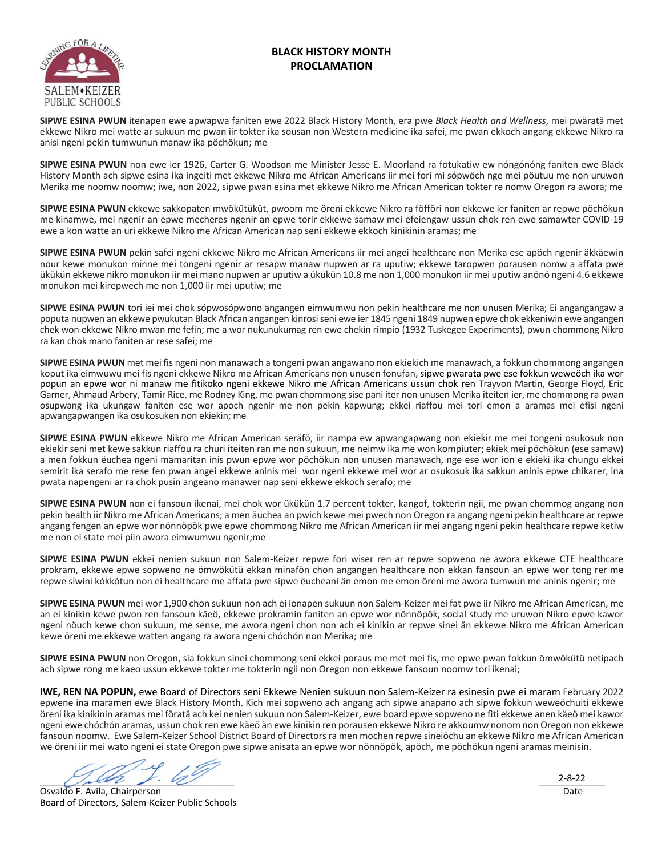### **BLACK HISTORY MONTH PROCLAMATION**



**SIPWE ESINA PWUN** itenapen ewe apwapwa faniten ewe 2022 Black History Month, era pwe *Black Health and Wellness*, mei pwӓratӓ met ekkewe Nikro mei watte ar sukuun me pwan iir tokter ika sousan non Western medicine ika safei, me pwan ekkoch angang ekkewe Nikro ra anisi ngeni pekin tumwunun manaw ika pöchökun; me

**SIPWE ESINA PWUN** non ewe ier 1926, Carter G. Woodson me Minister Jesse E. Moorland ra fotukatiw ew nóngónóng faniten ewe Black History Month ach sipwe esina ika ingeiti met ekkewe Nikro me African Americans iir mei fori mi sópwöch nge mei pöutuu me non uruwon Merika me noomw noomw; iwe, non 2022, sipwe pwan esina met ekkewe Nikro me African American tokter re nomw Oregon ra awora; me

**SIPWE ESINA PWUN** ekkewe sakkopaten mwökütüküt, pwoom me öreni ekkewe Nikro ra föfföri non ekkewe ier faniten ar repwe pöchökun me kinamwe, mei ngenir an epwe mecheres ngenir an epwe torir ekkewe samaw mei efeiengaw ussun chok ren ewe samawter COVID-19 ewe a kon watte an uri ekkewe Nikro me African American nap seni ekkewe ekkoch kinikinin aramas; me

**SIPWE ESINA PWUN** pekin safei ngeni ekkewe Nikro me African Americans iir mei angei healthcare non Merika ese apöch ngenir ӓkkӓewin nöur kewe monukon minne mei tongeni ngenir ar resapw manaw nupwen ar ra uputiw; ekkewe taropwen porausen nomw a affata pwe ükükün ekkewe nikro monukon iir mei mano nupwen ar uputiw a ükükün 10.8 me non 1,000 monukon iir mei uputiw anönö ngeni 4.6 ekkewe monukon mei kirepwech me non 1,000 iir mei uputiw; me

**SIPWE ESINA PWUN** tori iei mei chok sópwosópwono angangen eimwumwu non pekin healthcare me non unusen Merika; Ei angangangaw a poputa nupwen an ekkewe pwukutan Black African angangen kinrosi seni ewe ier 1845 ngeni 1849 nupwen epwe chok ekkeniwin ewe angangen chek won ekkewe Nikro mwan me fefin; me a wor nukunukumag ren ewe chekin rimpio (1932 Tuskegee Experiments), pwun chommong Nikro ra kan chok mano faniten ar rese safei; me

**SIPWE ESINA PWUN** met mei fis ngeni non manawach a tongeni pwan angawano non ekiekich me manawach, a fokkun chommong angangen koput ika eimwuwu mei fis ngeni ekkewe Nikro me African Americans non unusen fonufan, sipwe pwarata pwe ese fokkun weweöch ika wor popun an epwe wor ni manaw me fitikoko ngeni ekkewe Nikro me African Americans ussun chok ren Trayvon Martin, George Floyd, Eric Garner, Ahmaud Arbery, Tamir Rice, me Rodney King, me pwan chommong sise pani iter non unusen Merika iteiten ier, me chommong ra pwan osupwang ika ukungaw faniten ese wor apoch ngenir me non pekin kapwung; ekkei riaffou mei tori emon a aramas mei efisi ngeni apwangapwangen ika osukosuken non ekiekin; me

**SIPWE ESINA PWUN** ekkewe Nikro me African American serӓfö, iir nampa ew apwangapwang non ekiekir me mei tongeni osukosuk non ekiekir seni met kewe sakkun riaffou ra churi iteiten ran me non sukuun, me neimw ika me won kompiuter; ekiek mei pöchökun (ese samaw) a men fokkun ëuchea ngeni mamaritan inis pwun epwe wor pöchökun non unusen manawach, nge ese wor ion e ekieki ika chungu ekkei semirit ika serafo me rese fen pwan angei ekkewe aninis mei wor ngeni ekkewe mei wor ar osukosuk ika sakkun aninis epwe chikarer, ina pwata napengeni ar ra chok pusin angeano manawer nap seni ekkewe ekkoch serafo; me

**SIPWE ESINA PWUN** non ei fansoun ikenai, mei chok wor ükükün 1.7 percent tokter, kangof, tokterin ngii, me pwan chommog angang non pekin health iir Nikro me African Americans; a men ӓuchea an pwich kewe mei pwech non Oregon ra angang ngeni pekin healthcare ar repwe angang fengen an epwe wor nönnöpök pwe epwe chommong Nikro me African American iir mei angang ngeni pekin healthcare repwe ketiw me non ei state mei piin awora eimwumwu ngenir;me

**SIPWE ESINA PWUN** ekkei nenien sukuun non Salem-Keizer repwe fori wiser ren ar repwe sopweno ne awora ekkewe CTE healthcare prokram, ekkewe epwe sopweno ne ömwökütü ekkan minafön chon angangen healthcare non ekkan fansoun an epwe wor tong rer me repwe siwini kókkótun non ei healthcare me affata pwe sipwe ëucheani ӓn emon me emon öreni me awora tumwun me aninis ngenir; me

**SIPWE ESINA PWUN** mei wor 1,900 chon sukuun non ach ei ionapen sukuun non Salem-Keizer mei fat pwe iir Nikro me African American, me an ei kinikin kewe pwon ren fansoun kӓeö, ekkewe prokramin faniten an epwe wor nönnöpök, social study me uruwon Nikro epwe kawor ngeni nöuch kewe chon sukuun, me sense, me awora ngeni chon non ach ei kinikin ar repwe sinei ӓn ekkewe Nikro me African American kewe öreni me ekkewe watten angang ra awora ngeni chóchón non Merika; me

**SIPWE ESINA PWUN** non Oregon, sia fokkun sinei chommong seni ekkei poraus me met mei fis, me epwe pwan fokkun ömwökütü netipach ach sipwe rong me kaeo ussun ekkewe tokter me tokterin ngii non Oregon non ekkewe fansoun noomw tori ikenai;

**IWE, REN NA POPUN,** ewe Board of Directors seni Ekkewe Nenien sukuun non Salem-Keizer ra esinesin pwe ei maram February 2022 epwene ina maramen ewe Black History Month. Kich mei sopweno ach angang ach sipwe anapano ach sipwe fokkun weweöchuiti ekkewe öreni ika kinikinin aramas mei föratӓ ach kei nenien sukuun non Salem-Keizer, ewe board epwe sopweno ne fiti ekkewe anen kӓeö mei kawor ngeni ewe chóchón aramas, ussun chok ren ewe kӓeö ӓn ewe kinikin ren porausen ekkewe Nikro re akkoumw nonom non Oregon non ekkewe fansoun noomw. Ewe Salem-Keizer School District Board of Directors ra men mochen repwe sineiöchu an ekkewe Nikro me African American we öreni iir mei wato ngeni ei state Oregon pwe sipwe anisata an epwe wor nönnöpök, apöch, me pöchökun ngeni aramas meinisin.

 $\mathbb{Z}$  , we have  $\mathbb{Z}$ 

Osvaldo F. Avila, Chairperson Board of Directors, Salem-Keizer Public Schools

\_\_\_\_\_\_\_\_\_\_\_\_\_ 2-8-22Date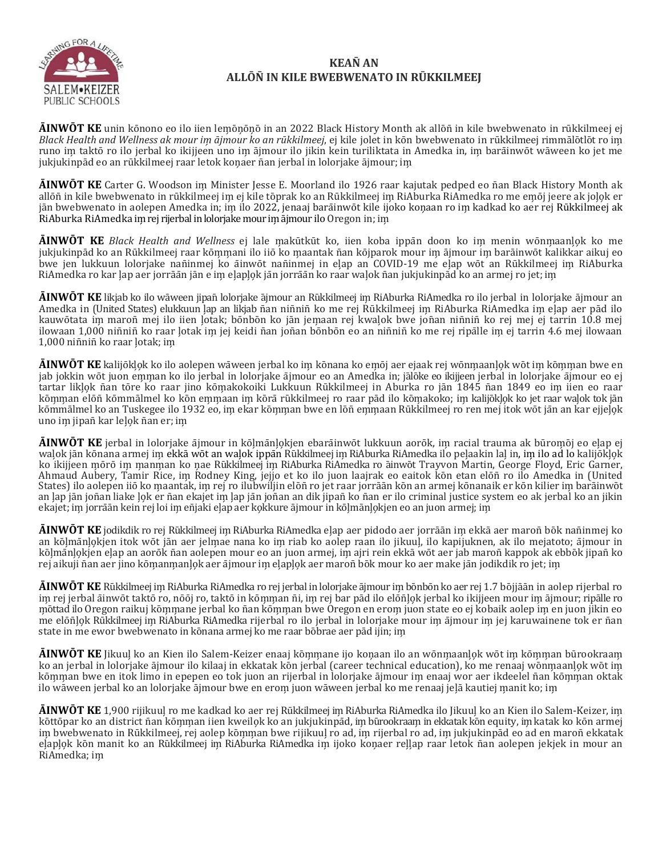

### **KEAN� AN ALLŌN�IN KILE BWEBWENATO IN RŪKKILMEEJ**

**ĀINWŌT KE** unin kōnono eo ilo iien lem̗ōn̗ōn̗ōin an 2022 Black History Month ak allōn̄ in kile bwebwenato in rūkkilmeej ej *Black Health and Wellness ak mour im̗ ājmour ko an rūkkilmeej*, ej kile jolet in kōn bwebwenato in rūkkilmeej rimmālōtlōt ro im̗ runo im taktō ro ilo jerbal ko ikijjeen uno im ājmour ilo jikin kein turiliktata in Amedka in, im barāinwōt wāween ko jet me jukjukinpād eo an rūkkilmeej raar letok kon̗aer n̄an jerbal in lolorjake ājmour; im̗

**ĀINWŌT KE** Carter G. Woodson im̗ Minister Jesse E. Moorland ilo 1926 raar kajutak pedped eo n̄an Black History Month ak allōñ in kile bwebwenato in rūkkilmeej im ej kile tōprak ko an Rūkkilmeej im RiAburka RiAmedka ro me emōj jeere ak jolok er jān bwebwenato in aolepen Amedka in; im ilo 2022, jenaaj barāinwōt kile ijoko konaan ro im kadkad ko aer rej Rūkkilmeej ak RiAburka RiAmedka im rej rijerbal in lolorjake mour im ājmour ilo Oregon in; im

**ĀINWŌT KE** *Black Health and Wellness* ej lale m̗akūtkūt ko, iien koba ippān doon ko im̗ menin wōnm̗aanl̗o̗k ko me jukjukinpād ko an Rūkkilmeej raar kōmmani ilo iiō ko maantak nān kōjparok mour im ājmour im barāinwōt kalikkar aikuj eo bwe jen lukkuun lolorjake nañinmej ko āinwōt nañinmej in elap an COVID-19 me elap wōt an Rūkkilmeej im RiAburka RiAmedka ro kar lap aer jorrāān jān e im elaplok jān jorrāān ko raar walok nān jukjukinpād ko an armej ro jet; im

**ĀINWŌT KE** likjab ko ilo wāween jipan̄ lolorjake ājmour an Rūkkilmeej im̗ RiAburka RiAmedka ro ilo jerbal in lolorjake ājmour an Amedka in (United States) elukkuun lap an likjab nan ninnin ko me rej Rūkkilmeej im RiAburka RiAmedka im elap aer pād ilo kauwōtata im maronī mej ilo iien ļotak; bōnbōn ko jān jemaan rej kwaļok bwe jonān ninīninī ko rej mej ej tarrin 10.8 mej ilowaan 1,000 niñniñ ko raar lotak im jej keidi ñan joñan bōnbōn eo an niñniñ ko me rej ripālle im ej tarrin 4.6 mej ilowaan 1,000 nin̄nin̄ko raar l̗otak; im̗

**<b>AINWOT KE** kalijōklok ko ilo aolepen wāween jerbal ko im kōnana ko emōj aer ejaak rej wōnmaanlok wōt im kōmman bwe en jab jokkin wōt juon emman ko ilo jerbal in lolorjake ājmour eo an Amedka in; jālōke eo ikijjeen jerbal in lolorjake ājmour eo ej tartar likļok nān tōre ko raar jino kōmakokoiki Lukkuun Rūkkilmeej in Aburka ro jān 1845 nān 1849 eo im iien eo raar kōmman elōn̄ kōmmālmel ko kōn emmaan im kōrā rūkkilmeej ro raar pād ilo kōmakoko; im kalijōkļok ko jet raar waļok tok jān kōmmālmel ko an Tuskegee ilo 1932 eo, im ekar kōmman bwe en lōn̄ emmaan Rūkkilmeej ro ren mej itok wōt jān an kar ejjelok uno im jipañ kar lelok ñan er; im

**ĀINWŌT KE** jerbal in lolorjake ājmour in kōl̗mānl̗o̗kjen ebarāinwōt lukkuun aorōk, im̗ racial trauma ak būrom̗ōj eo el̗ap ej walok jān kōnana armej im ekkā wōt an walok ippān Rūkkilmeej im RiAburka RiAmedka ilo pelaakin lal in, im ilo ad lo kalijōklok ko ikijjeen mōrō im manman ko nae Rūkkilmeej im RiAburka RiAmedka ro āinwōt Trayvon Martin, George Floyd, Eric Garner, Ahmaud Aubery, Tamir Rice, im̗ Rodney King, jejjo et ko ilo juon laajrak eo eaitok kōn etan elōn̄ ro ilo Amedka in (United States) ilo aolepen iiō ko maantak, im rej ro ilubwiljin elōn̄ ro jet raar jorrāān kōn an armej kōnanaik er kōn kilier im barāinwōt an lap jān joñan liake lok er ñan ekajet im lap jān joñan an dik jipañ ko ñan er ilo criminal justice system eo ak jerbal ko an jikin ekajet; im jorrāān kein rej loi im en̄jaki elap aer ko̯kkure ājmour in kōlmānlo̯kjen eo an juon armej; im

**ĀINWŌT KE** jodikdik ro rej Rūkkilmeej im̗ RiAburka RiAmedka el̗ap aer pidodo aer jorrāān im̗ ekkāaer maron̄ bōk nan̄inmej ko an kōļmānļokjen itok wōt jān aer jelmae nana ko im riab ko aolep raan ilo jikuul, ilo kapijuknen, ak ilo mejatoto; ājmour in kōļmānļokjen elap an aorōk nān aolepen mour eo an juon armej, im ajri rein ekkā wōt aer jab maronī kappok ak ebbōk jipanī ko rej aikuji n̄an aer jino kōmanmanlok aer ājmour im elaplok aer maron̄ bōk mour ko aer make jān jodikdik ro jet; im

**ĀINWŌT KE** Rūkkilmeej im̗ RiAburka RiAmedka ro rej jerbal in lolorjake ājmour im̗ bōnbōn ko aer rej 1.7 bōjjāān in aolep rijerbal ro im rej jerbal āinwōt taktō ro, nōōj ro, taktō in kōmman ñi, im rej bar pād ilo elōñļok jerbal ko ikijjeen mour im ājmour; ripālle ro mōttad ilo Oregon raikuj kōmmane jerbal ko ñan kōmman bwe Oregon en erom juon state eo ej kobaik aolep im en juon jikin eo me elōn̄lok Rūkkilmeej im RiAburka RiAmedka rijerbal ro ilo jerbal in lolorjake mour im ājmour im jej karuwainene tok er n̄an state in me ewor bwebwenato in kōnana armej ko me raar bōbrae aer pād ijin; im

**<b>ĀINWŌT KE** Jikuul ko an Kien ilo Salem-Keizer enaaj kōmmane ijo konaan ilo an wōnmaanlǫk wōt im kōmman būrookraam ko an jerbal in lolorjake ājmour ilo kilaaj in ekkatak kōn jerbal (career technical education), ko me renaaj wōnmaanlok wōt im kōmman bwe en itok limo in epepen eo tok juon an rijerbal in lolorjake ājmour im enaaj wor aer ikdeelel nān kōmman oktak ilo wāween jerbal ko an lolorjake ājmour bwe en erom juon wāween jerbal ko me renaaj jeļā kautiej manit ko; im

**ĀINWŌT KE** 1,900 rijikuul̗ro me kadkad ko aer rej Rūkkilmeej im̗ RiAburka RiAmedka ilo Jikuul̗ko an Kien ilo Salem-Keizer, im̗ kōttōpar ko an district ñan kōmman iien kweilok ko an jukjukinpād, im būrookraam in ekkatak kōn equity, im katak ko kōn armej im bwebwenato in Rūkkilmeej, rej aolep kōmman bwe rijikuul ro ad, im rijerbal ro ad, im jukjukinpād eo ad en maroñ ekkatak elaplok kōn manit ko an Rūkkilmeej im RiAburka RiAmedka im ijoko konaer rellap raar letok nān aolepen jekjek in mour an RiAmedka; im̗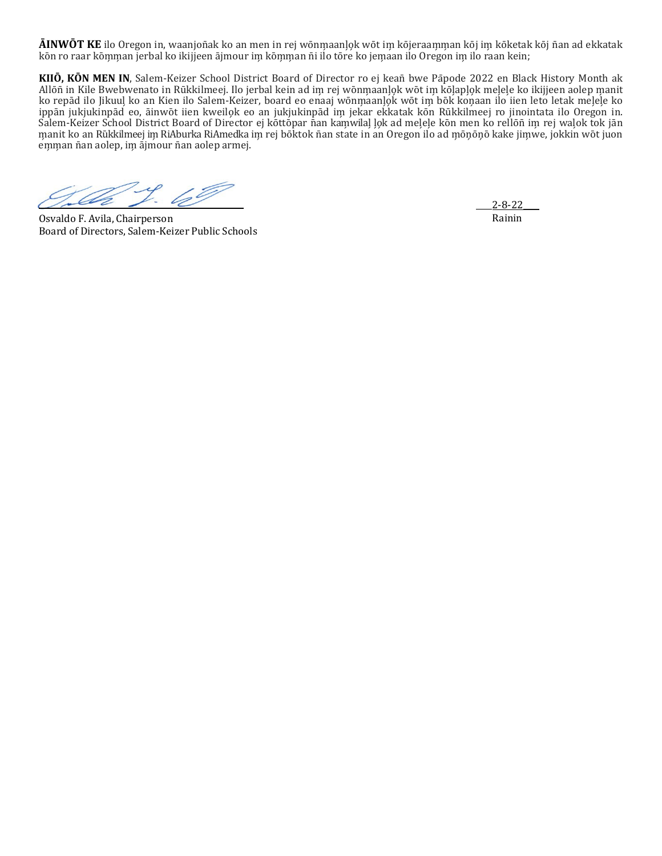**ĀINWŌT KE** ilo Oregon in, waanjon̄ak ko an men in rej wōnm̗aanl̗o̗k wōt im̗ kōjeraam̗ m̗an kōj im̗ kōketak kōj n̄an ad ekkatak kōn ro raar kōmman jerbal ko ikijjeen ājmour im kōmman nī ilo tōre ko jemaan ilo Oregon im ilo raan kein;

**KIIŌ, KŌN MEN IN**, Salem-Keizer School District Board of Director ro ej kean̄ bwe Pāpode 2022 en Black History Month ak Allōn in Kile Bwebwenato in Rūkkilmeej. Ilo jerbal kein ad im rej wōnmaanlok wōt im kōlaplok melele ko ikijjeen aolep manit ko repād ilo Jikuuļ ko an Kien ilo Salem-Keizer, board eo enaaj wōnmaanļok wōt im bōk koņaan ilo iien leto letak meļeļe ko ippān jukjukinpād eo, āinwōt iien kweilok eo an jukjukinpād im jekar ekkatak kōn Rūkkilmeej ro jinointata ilo Oregon in. Salem-Keizer School District Board of Director ej kōttōpar nan kamwilal lok ad melele kōn men ko rellōnī im rej walok tok jān manit ko an Rūkkilmeej im RiAburka RiAmedka im rej bōktok n̄an state in an Oregon ilo ad mōnōnō kake jimwe, jokkin wōt juon emman ñan aolep, im ājmour ñan aolep armej.

Osvaldo F. Avila, Chairperson Board of Directors, Salem-Keizer Public Schools

\_\_\_\_2-8-22\_\_\_\_ Rainin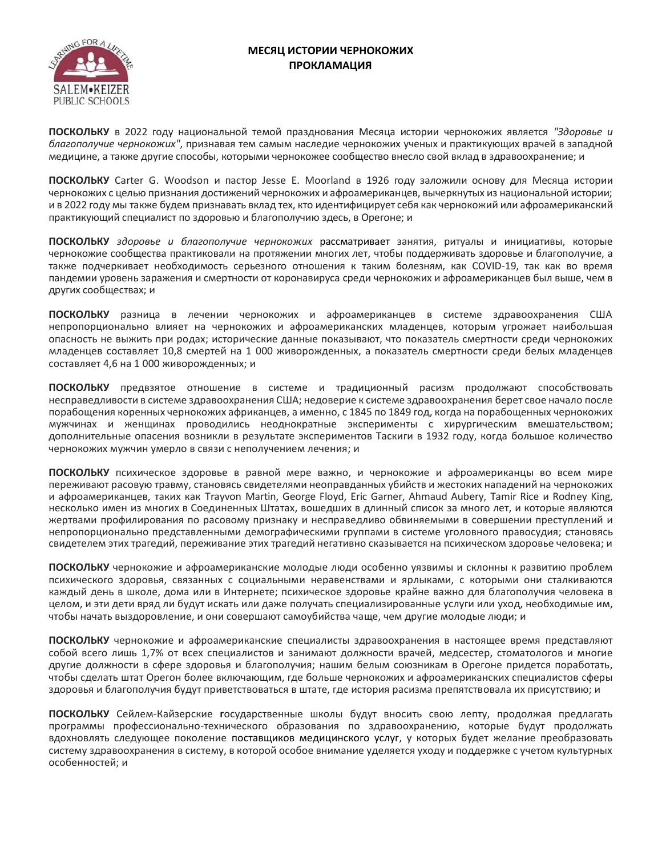

# **МЕСЯЦ ИСТОРИИ ЧЕРНОКОЖИХ ПРОКЛАМАЦИЯ**

**ПОСКОЛЬКУ** в 2022 году национальной темой празднования Месяца истории чернокожих является *"Здоровье и благополучие чернокожих"*, признавая тем самым наследие чернокожих ученых и практикующих врачей в западной медицине, а также другие способы, которыми чернокожее сообщество внесло свой вклад в здравоохранение; и

**ПОСКОЛЬКУ** Carter G. Woodson и пастор Jesse E. Moorland в 1926 году заложили основу для Месяца истории чернокожих с целью признания достижений чернокожих и афроамериканцев, вычеркнутых из национальной истории; и в 2022 году мы также будем признавать вклад тех, кто идентифицирует себя как чернокожий или афроамериканский практикующий специалист по здоровью и благополучию здесь, в Орегоне; и

**ПОСКОЛЬКУ** *здоровье и благополучие чернокожих* рассматривает занятия, ритуалы и инициативы, которые чернокожие сообщества практиковали на протяжении многих лет, чтобы поддерживать здоровье и благополучие, а также подчеркивает необходимость серьезного отношения к таким болезням, как COVID-19, так как во время пандемии уровень заражения и смертности от коронавируса среди чернокожих и афроамериканцев был выше, чем в других сообществах; и

**ПОСКОЛЬКУ** разница в лечении чернокожих и афроамериканцев в системе здравоохранения США непропорционально влияет на чернокожих и афроамериканских младенцев, которым угрожает наибольшая опасность не выжить при родах; исторические данные показывают, что показатель смертности среди чернокожих младенцев составляет 10,8 смертей на 1 000 живорожденных, а показатель смертности среди белых младенцев составляет 4,6 на 1 000 живорожденных; и

**ПОСКОЛЬКУ** предвзятое отношение в системе и традиционный расизм продолжают способствовать несправедливости в системе здравоохранения США; недоверие к системе здравоохранения берет свое начало после порабощения коренных чернокожих африканцев, а именно, с 1845 по 1849 год, когда на порабощенных чернокожих мужчинах и женщинах проводились неоднократные эксперименты с хирургическим вмешательством; дополнительные опасения возникли в результате экспериментов Таскиги в 1932 году, когда большое количество чернокожих мужчин умерло в связи с неполучением лечения; и

**ПОСКОЛЬКУ** психическое здоровье в равной мере важно, и чернокожие и афроамериканцы во всем мире переживают расовую травму, становясь свидетелями неоправданных убийств и жестоких нападений на чернокожих и афроамериканцев, таких как Trayvon Martin, George Floyd, Eric Garner, Ahmaud Aubery, Tamir Rice и Rodney King, несколько имен из многих в Соединенных Штатах, вошедших в длинный список за много лет, и которые являются жертвами профилирования по расовому признаку и несправедливо обвиняемыми в совершении преступлений и непропорционально представленными демографическими группами в системе уголовного правосудия; становясь свидетелем этих трагедий, переживание этих трагедий негативно сказывается на психическом здоровье человека; и

**ПОСКОЛЬКУ** чернокожие и афроамериканские молодые люди особенно уязвимы и склонны к развитию проблем психического здоровья, связанных с социальными неравенствами и ярлыками, с которыми они сталкиваются каждый день в школе, дома или в Интернете; психическое здоровье крайне важно для благополучия человека в целом, и эти дети вряд ли будут искать или даже получать специализированные услуги или уход, необходимые им, чтобы начать выздоровление, и они совершают самоубийства чаще, чем другие молодые люди; и

**ПОСКОЛЬКУ** чернокожие и афроамериканские специалисты здравоохранения в настоящее время представляют собой всего лишь 1,7% от всех специалистов и занимают должности врачей, медсестер, стоматологов и многие другие должности в сфере здоровья и благополучия; нашим белым союзникам в Орегоне придется поработать, чтобы сделать штат Орегон более включающим, где больше чернокожих и афроамериканских специалистов сферы здоровья и благополучия будут приветствоваться в штате, где история расизма препятствовала их присутствию; и

**ПОСКОЛЬКУ** Сейлем-Кайзерские **г**осударственные школы будут вносить свою лепту, продолжая предлагать программы профессионально-технического образования по здравоохранению, которые будут продолжать вдохновлять следующее поколение поставщиков медицинского услуг, у которых будет желание преобразовать систему здравоохранения в систему, в которой особое внимание уделяется уходу и поддержке с учетом культурных особенностей; и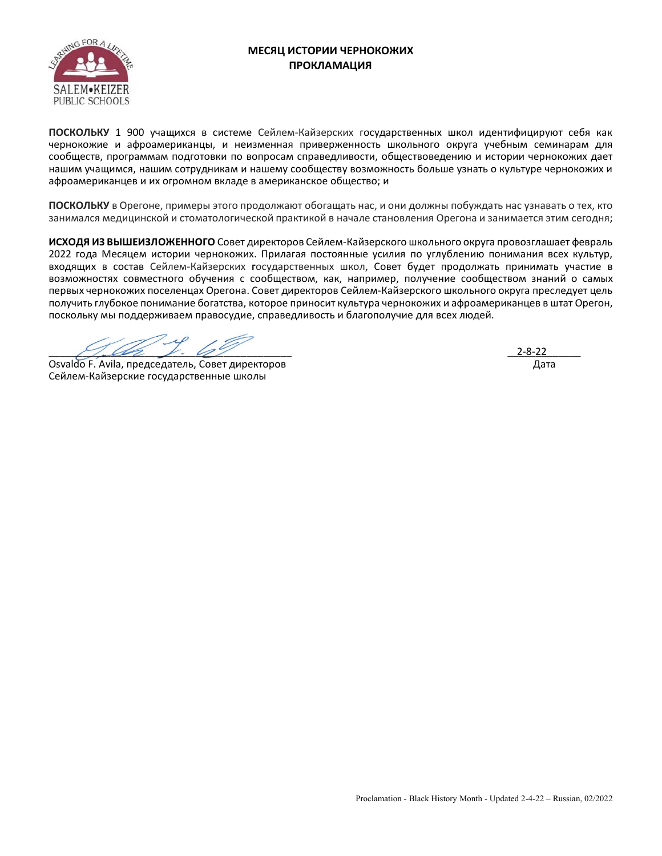

# **МЕСЯЦ ИСТОРИИ ЧЕРНОКОЖИХ ПРОКЛАМАЦИЯ**

**ПОСКОЛЬКУ** 1 900 учащихся в системе Сейлем-Кайзерских государственных школ идентифицируют себя как чернокожие и афроамериканцы, и неизменная приверженность школьного округа учебным семинарам для сообществ, программам подготовки по вопросам справедливости, обществоведению и истории чернокожих дает нашим учащимся, нашим сотрудникам и нашему сообществу возможность больше узнать о культуре чернокожих и афроамериканцев и их огромном вкладе в американское общество; и

**ПОСКОЛЬКУ** в Орегоне, примеры этого продолжают обогащать нас, и они должны побуждать нас узнавать о тех, кто занимался медицинской и стоматологической практикой в начале становления Орегона и занимается этим сегодня;

**ИСХОДЯ ИЗ ВЫШЕИЗЛОЖЕННОГО** Совет директоров Сейлем-Кайзерского школьного округа провозглашает февраль 2022 года Месяцем истории чернокожих. Прилагая постоянные усилия по углублению понимания всех культур, входящих в состав Сейлем-Кайзерских **г**осударственных школ, Совет будет продолжать принимать участие в возможностях совместного обучения с сообществом, как, например, получение сообществом знаний о самых первых чернокожих поселенцах Орегона. Совет директоров Сейлем-Кайзерского школьного округа преследует цель получить глубокое понимание богатства, которое приносит культура чернокожих и афроамериканцев в штат Орегон, поскольку мы поддерживаем правосудие, справедливость и благополучие для всех людей.

 $\mathcal{L}$ 

Osvaldo F. Avila, председатель, Совет директоров Сейлем-Кайзерские государственные школы

 \_\_\_\_\_\_\_\_\_\_\_\_\_ 2-8-22Дата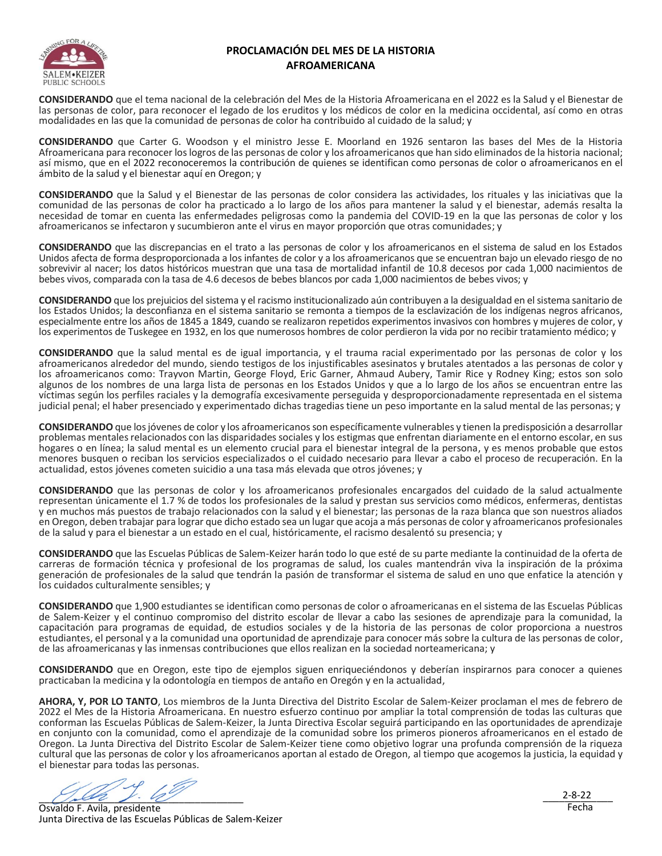

# **PROCLAMACIÓN DEL MES DE LA HISTORIA AFROAMERICANA**

**CONSIDERANDO** que el tema nacional de la celebración del Mes de la Historia Afroamericana en el 2022 es la Salud y el Bienestar de las personas de color, para reconocer el legado de los eruditos y los médicos de color en la medicina occidental, así como en otras modalidades en las que la comunidad de personas de color ha contribuido al cuidado de la salud; y

**CONSIDERANDO** que Carter G. Woodson y el ministro Jesse E. Moorland en 1926 sentaron las bases del Mes de la Historia Afroamericana para reconocer los logros de las personas de color y los afroamericanos que han sido eliminados de la historia nacional; así mismo, que en el 2022 reconoceremos la contribución de quienes se identifican como personas de color o afroamericanos en el ámbito de la salud y el bienestar aquí en Oregon; y

**CONSIDERANDO** que la Salud y el Bienestar de las personas de color considera las actividades, los rituales y las iniciativas que la comunidad de las personas de color ha practicado a lo largo de los años para mantener la salud y el bienestar, además resalta la necesidad de tomar en cuenta las enfermedades peligrosas como la pandemia del COVID-19 en la que las personas de color y los afroamericanos se infectaron y sucumbieron ante el virus en mayor proporción que otras comunidades; y

**CONSIDERANDO** que las discrepancias en el trato a las personas de color y los afroamericanos en el sistema de salud en los Estados Unidos afecta de forma desproporcionada a los infantes de color y a los afroamericanos que se encuentran bajo un elevado riesgo de no sobrevivir al nacer; los datos históricos muestran que una tasa de mortalidad infantil de 10.8 decesos por cada 1,000 nacimientos de bebes vivos, comparada con la tasa de 4.6 decesos de bebes blancos por cada 1,000 nacimientos de bebes vivos; y

**CONSIDERANDO** que los prejuicios del sistema y el racismo institucionalizado aún contribuyen a la desigualdad en el sistema sanitario de los Estados Unidos; la desconfianza en el sistema sanitario se remonta a tiempos de la esclavización de los indígenas negros africanos, especialmente entre los años de 1845 a 1849, cuando se realizaron repetidos experimentos invasivos con hombres y mujeres de color, y los experimentos de Tuskegee en 1932, en los que numerosos hombres de color perdieron la vida por no recibir tratamiento médico; y

**CONSIDERANDO** que la salud mental es de igual importancia, y el trauma racial experimentado por las personas de color y los afroamericanos alrededor del mundo, siendo testigos de los injustificables asesinatos y brutales atentados a las personas de color y los afroamericanos como: Trayvon Martin, George Floyd, Eric Garner, Ahmaud Aubery, Tamir Rice y Rodney King; estos son solo algunos de los nombres de una larga lista de personas en los Estados Unidos y que a lo largo de los años se encuentran entre las víctimas según los perfiles raciales y la demografía excesivamente perseguida y desproporcionadamente representada en el sistema judicial penal; el haber presenciado y experimentado dichas tragedias tiene un peso importante en la salud mental de las personas; y

**CONSIDERANDO** que los jóvenes de color y los afroamericanos son específicamente vulnerables y tienen la predisposición a desarrollar problemas mentales relacionados con las disparidades sociales y los estigmas que enfrentan diariamente en el entorno escolar, en sus hogares o en línea; la salud mental es un elemento crucial para el bienestar integral de la persona, y es menos probable que estos menores busquen o reciban los servicios especializados o el cuidado necesario para llevar a cabo el proceso de recuperación. En la actualidad, estos jóvenes cometen suicidio a una tasa más elevada que otros jóvenes; y

**CONSIDERANDO** que las personas de color y los afroamericanos profesionales encargados del cuidado de la salud actualmente representan únicamente el 1.7 % de todos los profesionales de la salud y prestan sus servicios como médicos, enfermeras, dentistas y en muchos más puestos de trabajo relacionados con la salud y el bienestar; las personas de la raza blanca que son nuestros aliados en Oregon, deben trabajar para lograr que dicho estado sea un lugar que acoja a más personas de color y afroamericanos profesionales de la salud y para el bienestar a un estado en el cual, históricamente, el racismo desalentó su presencia; y

**CONSIDERANDO** que las Escuelas Públicas de Salem-Keizer harán todo lo que esté de su parte mediante la continuidad de la oferta de carreras de formación técnica y profesional de los programas de salud, los cuales mantendrán viva la inspiración de la próxima generación de profesionales de la salud que tendrán la pasión de transformar el sistema de salud en uno que enfatice la atención y los cuidados culturalmente sensibles; y

**CONSIDERANDO** que 1,900 estudiantes se identifican como personas de color o afroamericanas en el sistema de las Escuelas Públicas de Salem-Keizer y el continuo compromiso del distrito escolar de llevar a cabo las sesiones de aprendizaje para la comunidad, la capacitación para programas de equidad, de estudios sociales y de la historia de las personas de color proporciona a nuestros estudiantes, el personal y a la comunidad una oportunidad de aprendizaje para conocer más sobre la cultura de las personas de color, de las afroamericanas y las inmensas contribuciones que ellos realizan en la sociedad norteamericana; y

**CONSIDERANDO** que en Oregon, este tipo de ejemplos siguen enriqueciéndonos y deberían inspirarnos para conocer a quienes practicaban la medicina y la odontología en tiempos de antaño en Oregón y en la actualidad,

**AHORA, Y, POR LO TANTO**, Los miembros de la Junta Directiva del Distrito Escolar de Salem-Keizer proclaman el mes de febrero de 2022 el Mes de la Historia Afroamericana. En nuestro esfuerzo continuo por ampliar la total comprensión de todas las culturas que conforman las Escuelas Públicas de Salem-Keizer, la Junta Directiva Escolar seguirá participando en las oportunidades de aprendizaje en conjunto con la comunidad, como el aprendizaje de la comunidad sobre los primeros pioneros afroamericanos en el estado de Oregon. La Junta Directiva del Distrito Escolar de Salem-Keizer tiene como objetivo lograr una profunda comprensión de la riqueza cultural que las personas de color y los afroamericanos aportan al estado de Oregon, al tiempo que acogemos la justicia, la equidad y el bienestar para todas las personas.

 $\mathcal{U}_2$ 

 $2-8-22$ Fecha

Osvaldo F. Avila, presidente Junta Directiva de las Escuelas Públicas de Salem-Keizer